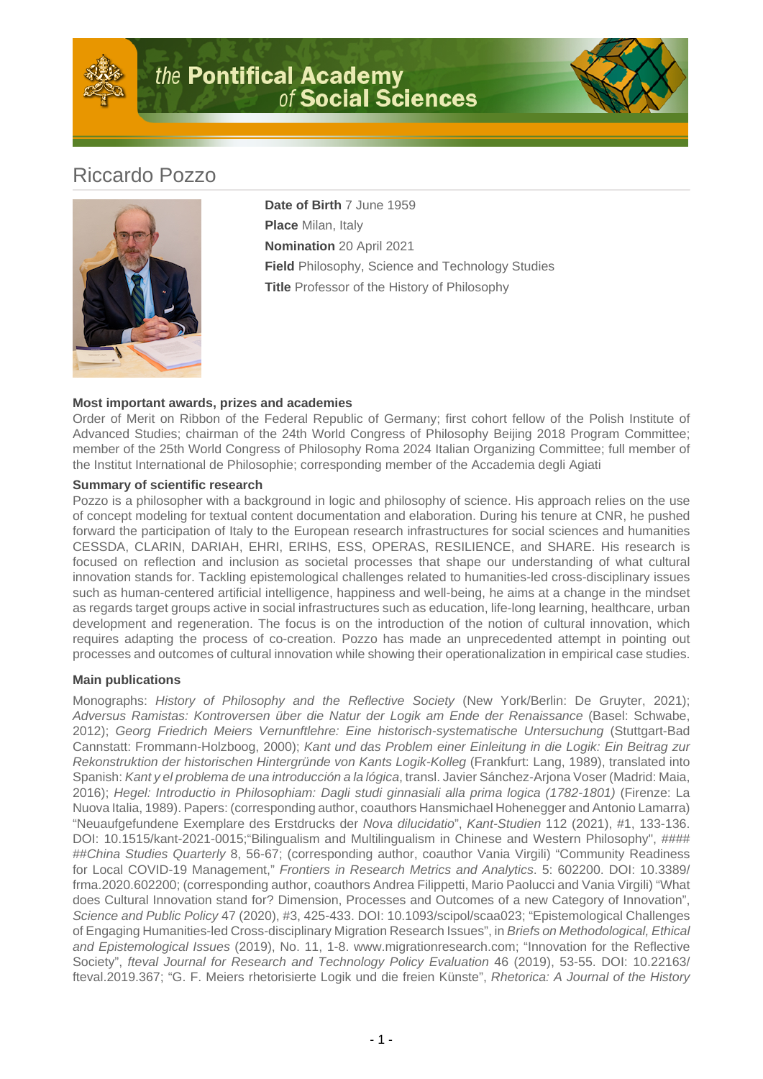

# the Pontifical Academy<br>of Social Sciences



# Riccardo Pozzo



**Date of Birth** 7 June 1959 **Place** Milan, Italy **Nomination** 20 April 2021 **Field** Philosophy, Science and Technology Studies **Title** Professor of the History of Philosophy

## **Most important awards, prizes and academies**

Order of Merit on Ribbon of the Federal Republic of Germany; first cohort fellow of the Polish Institute of Advanced Studies; chairman of the 24th World Congress of Philosophy Beijing 2018 Program Committee; member of the 25th World Congress of Philosophy Roma 2024 Italian Organizing Committee; full member of the Institut International de Philosophie; corresponding member of the Accademia degli Agiati

### **Summary of scientific research**

Pozzo is a philosopher with a background in logic and philosophy of science. His approach relies on the use of concept modeling for textual content documentation and elaboration. During his tenure at CNR, he pushed forward the participation of Italy to the European research infrastructures for social sciences and humanities CESSDA, CLARIN, DARIAH, EHRI, ERIHS, ESS, OPERAS, RESILIENCE, and SHARE. His research is focused on reflection and inclusion as societal processes that shape our understanding of what cultural innovation stands for. Tackling epistemological challenges related to humanities-led cross-disciplinary issues such as human-centered artificial intelligence, happiness and well-being, he aims at a change in the mindset as regards target groups active in social infrastructures such as education, life-long learning, healthcare, urban development and regeneration. The focus is on the introduction of the notion of cultural innovation, which requires adapting the process of co-creation. Pozzo has made an unprecedented attempt in pointing out processes and outcomes of cultural innovation while showing their operationalization in empirical case studies.

### **Main publications**

Monographs: History of Philosophy and the Reflective Society (New York/Berlin: De Gruyter, 2021); Adversus Ramistas: Kontroversen über die Natur der Logik am Ende der Renaissance (Basel: Schwabe, 2012); Georg Friedrich Meiers Vernunftlehre: Eine historisch-systematische Untersuchung (Stuttgart-Bad Cannstatt: Frommann-Holzboog, 2000); Kant und das Problem einer Einleitung in die Logik: Ein Beitrag zur Rekonstruktion der historischen Hintergründe von Kants Logik-Kolleg (Frankfurt: Lang, 1989), translated into Spanish: Kant y el problema de una introducción a la lógica, transl. Javier Sánchez-Arjona Voser (Madrid: Maia, 2016); Hegel: Introductio in Philosophiam: Dagli studi ginnasiali alla prima logica (1782-1801) (Firenze: La Nuova Italia, 1989). Papers: (corresponding author, coauthors Hansmichael Hohenegger and Antonio Lamarra) "Neuaufgefundene Exemplare des Erstdrucks der Nova dilucidatio", Kant-Studien 112 (2021), #1, 133-136. DOI: 10.1515/kant-2021-0015; "Bilingualism and Multilingualism in Chinese and Western Philosophy", #### ##China Studies Quarterly 8, 56-67; (corresponding author, coauthor Vania Virgili) "Community Readiness for Local COVID-19 Management," Frontiers in Research Metrics and Analytics. 5: 602200. DOI: 10.3389/ frma.2020.602200; (corresponding author, coauthors Andrea Filippetti, Mario Paolucci and Vania Virgili) "What does Cultural Innovation stand for? Dimension, Processes and Outcomes of a new Category of Innovation", Science and Public Policy 47 (2020), #3, 425-433. DOI: 10.1093/scipol/scaa023; "Epistemological Challenges of Engaging Humanities-led Cross-disciplinary Migration Research Issues", in Briefs on Methodological, Ethical and Epistemological Issues (2019), No. 11, 1-8. www.migrationresearch.com; "Innovation for the Reflective Society", fteval Journal for Research and Technology Policy Evaluation 46 (2019), 53-55. DOI: 10.22163/ fteval.2019.367; "G. F. Meiers rhetorisierte Logik und die freien Künste", Rhetorica: A Journal of the History